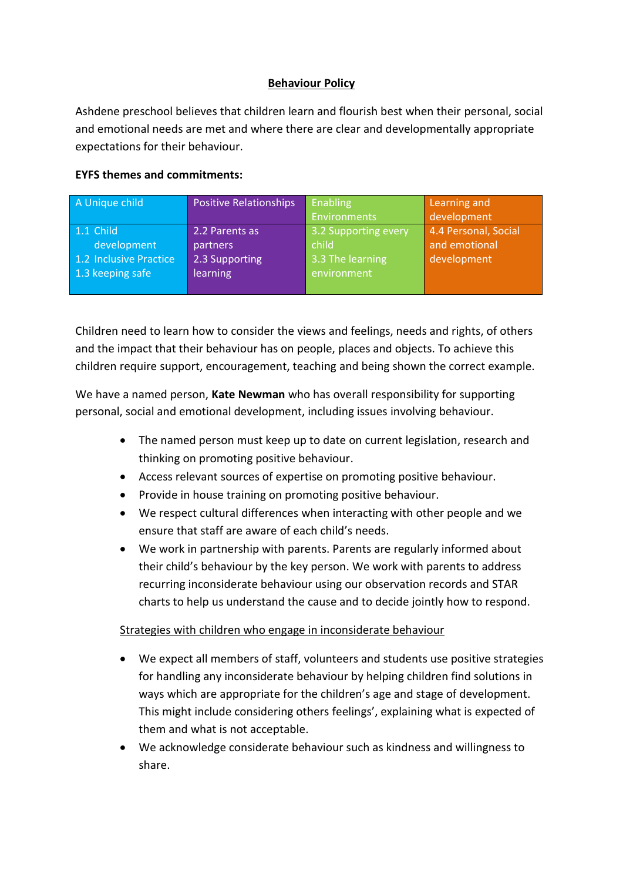## **Behaviour Policy**

Ashdene preschool believes that children learn and flourish best when their personal, social and emotional needs are met and where there are clear and developmentally appropriate expectations for their behaviour.

## **EYFS themes and commitments:**

| A Unique child         | <b>Positive Relationships</b> | <b>Enabling</b>      | Learning and         |
|------------------------|-------------------------------|----------------------|----------------------|
|                        |                               | Environments         | development          |
| 1.1 Child              | 2.2 Parents as                | 3.2 Supporting every | 4.4 Personal, Social |
| development            | partners                      | child                | and emotional        |
| 1.2 Inclusive Practice | 2.3 Supporting                | 3.3 The learning     | development          |
| 1.3 keeping safe       | <b>learning</b>               | environment          |                      |
|                        |                               |                      |                      |

Children need to learn how to consider the views and feelings, needs and rights, of others and the impact that their behaviour has on people, places and objects. To achieve this children require support, encouragement, teaching and being shown the correct example.

We have a named person, **Kate Newman** who has overall responsibility for supporting personal, social and emotional development, including issues involving behaviour.

- The named person must keep up to date on current legislation, research and thinking on promoting positive behaviour.
- Access relevant sources of expertise on promoting positive behaviour.
- Provide in house training on promoting positive behaviour.
- We respect cultural differences when interacting with other people and we ensure that staff are aware of each child's needs.
- We work in partnership with parents. Parents are regularly informed about their child's behaviour by the key person. We work with parents to address recurring inconsiderate behaviour using our observation records and STAR charts to help us understand the cause and to decide jointly how to respond.

### Strategies with children who engage in inconsiderate behaviour

- We expect all members of staff, volunteers and students use positive strategies for handling any inconsiderate behaviour by helping children find solutions in ways which are appropriate for the children's age and stage of development. This might include considering others feelings', explaining what is expected of them and what is not acceptable.
- We acknowledge considerate behaviour such as kindness and willingness to share.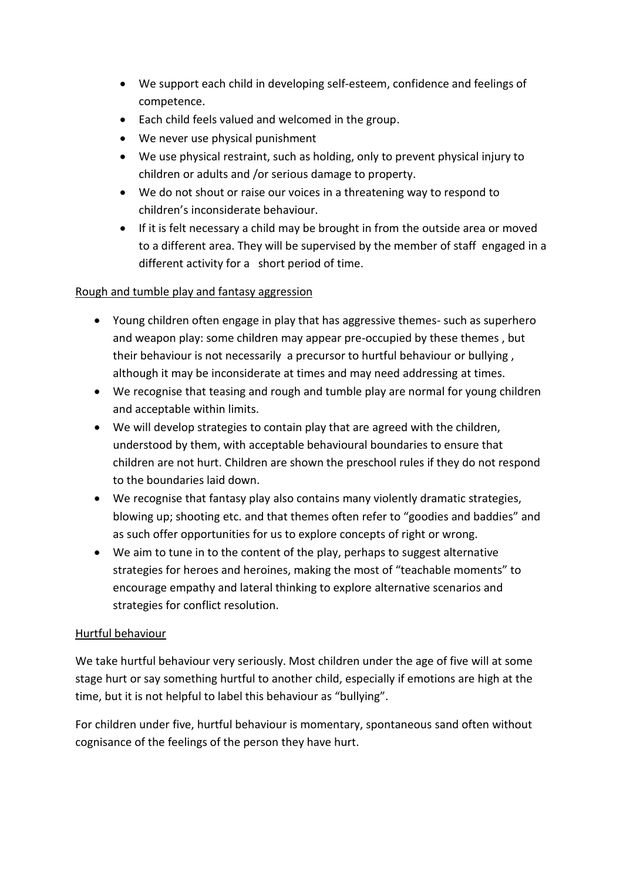- We support each child in developing self-esteem, confidence and feelings of competence.
- Each child feels valued and welcomed in the group.
- We never use physical punishment
- We use physical restraint, such as holding, only to prevent physical injury to children or adults and /or serious damage to property.
- We do not shout or raise our voices in a threatening way to respond to children's inconsiderate behaviour.
- If it is felt necessary a child may be brought in from the outside area or moved to a different area. They will be supervised by the member of staff engaged in a different activity for a short period of time.

# Rough and tumble play and fantasy aggression

- Young children often engage in play that has aggressive themes- such as superhero and weapon play: some children may appear pre-occupied by these themes , but their behaviour is not necessarily a precursor to hurtful behaviour or bullying , although it may be inconsiderate at times and may need addressing at times.
- We recognise that teasing and rough and tumble play are normal for young children and acceptable within limits.
- We will develop strategies to contain play that are agreed with the children, understood by them, with acceptable behavioural boundaries to ensure that children are not hurt. Children are shown the preschool rules if they do not respond to the boundaries laid down.
- We recognise that fantasy play also contains many violently dramatic strategies, blowing up; shooting etc. and that themes often refer to "goodies and baddies" and as such offer opportunities for us to explore concepts of right or wrong.
- We aim to tune in to the content of the play, perhaps to suggest alternative strategies for heroes and heroines, making the most of "teachable moments" to encourage empathy and lateral thinking to explore alternative scenarios and strategies for conflict resolution.

### Hurtful behaviour

We take hurtful behaviour very seriously. Most children under the age of five will at some stage hurt or say something hurtful to another child, especially if emotions are high at the time, but it is not helpful to label this behaviour as "bullying".

For children under five, hurtful behaviour is momentary, spontaneous sand often without cognisance of the feelings of the person they have hurt.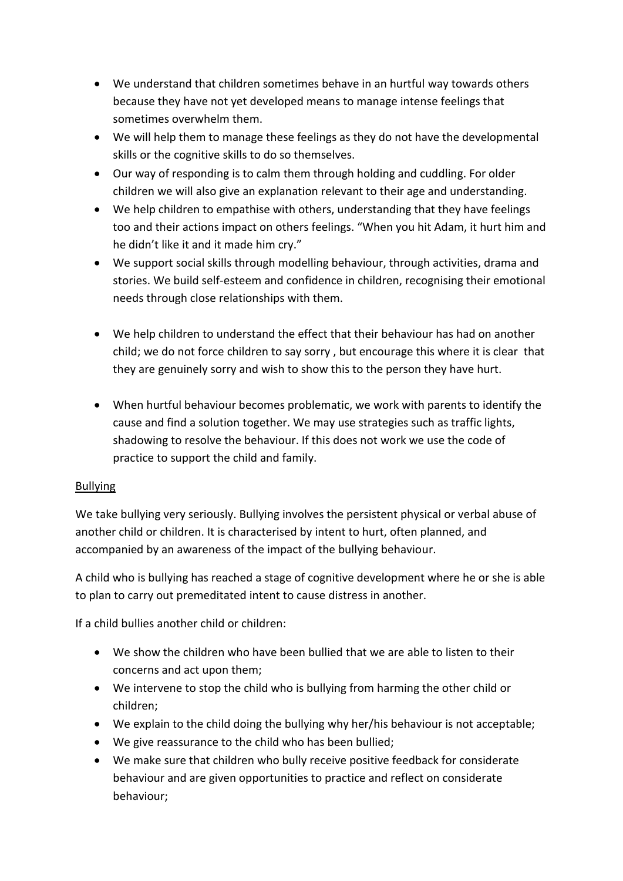- We understand that children sometimes behave in an hurtful way towards others because they have not yet developed means to manage intense feelings that sometimes overwhelm them.
- We will help them to manage these feelings as they do not have the developmental skills or the cognitive skills to do so themselves.
- Our way of responding is to calm them through holding and cuddling. For older children we will also give an explanation relevant to their age and understanding.
- We help children to empathise with others, understanding that they have feelings too and their actions impact on others feelings. "When you hit Adam, it hurt him and he didn't like it and it made him cry."
- We support social skills through modelling behaviour, through activities, drama and stories. We build self-esteem and confidence in children, recognising their emotional needs through close relationships with them.
- We help children to understand the effect that their behaviour has had on another child; we do not force children to say sorry , but encourage this where it is clear that they are genuinely sorry and wish to show this to the person they have hurt.
- When hurtful behaviour becomes problematic, we work with parents to identify the cause and find a solution together. We may use strategies such as traffic lights, shadowing to resolve the behaviour. If this does not work we use the code of practice to support the child and family.

### Bullying

We take bullying very seriously. Bullying involves the persistent physical or verbal abuse of another child or children. It is characterised by intent to hurt, often planned, and accompanied by an awareness of the impact of the bullying behaviour.

A child who is bullying has reached a stage of cognitive development where he or she is able to plan to carry out premeditated intent to cause distress in another.

If a child bullies another child or children:

- We show the children who have been bullied that we are able to listen to their concerns and act upon them;
- We intervene to stop the child who is bullying from harming the other child or children;
- We explain to the child doing the bullying why her/his behaviour is not acceptable;
- We give reassurance to the child who has been bullied;
- We make sure that children who bully receive positive feedback for considerate behaviour and are given opportunities to practice and reflect on considerate behaviour;